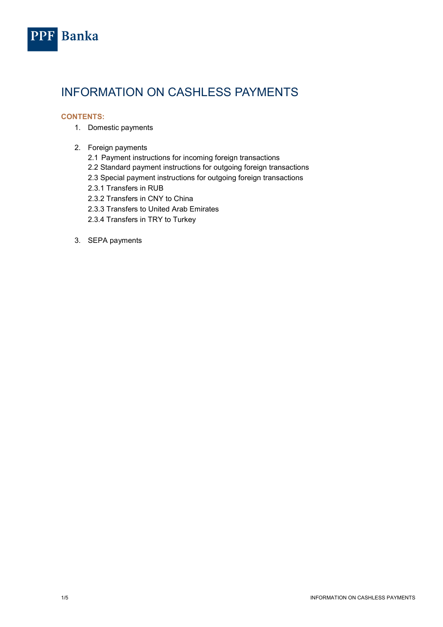

# INFORMATION ON CASHLESS PAYMENTS

# CONTENTS:

- 1. Domestic payments
- 2. Foreign payments
	- 2.1 Payment instructions for incoming foreign transactions
	- 2.2 Standard payment instructions for outgoing foreign transactions
	- 2.3 Special payment instructions for outgoing foreign transactions
	- 2.3.1 Transfers in RUB
	- 2.3.2 Transfers in CNY to China
	- 2.3.3 Transfers to United Arab Emirates
	- 2.3.4 Transfers in TRY to Turkey
- 3. SEPA payments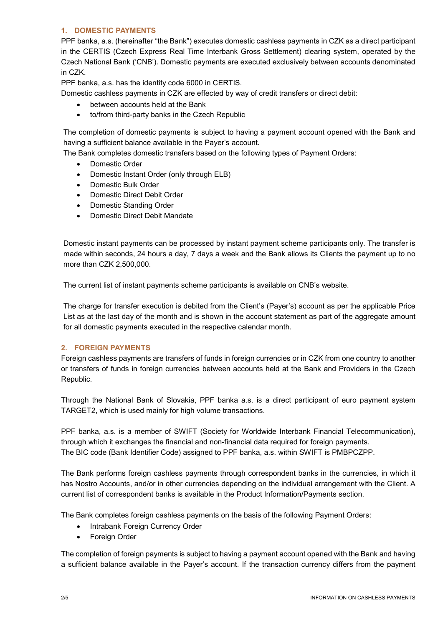## 1. DOMESTIC PAYMENTS

PPF banka, a.s. (hereinafter "the Bank") executes domestic cashless payments in CZK as a direct participant in the CERTIS (Czech Express Real Time Interbank Gross Settlement) clearing system, operated by the Czech National Bank ('CNB'). Domestic payments are executed exclusively between accounts denominated in CZK.

PPF banka, a.s. has the identity code 6000 in CERTIS.

Domestic cashless payments in CZK are effected by way of credit transfers or direct debit:

- between accounts held at the Bank
- to/from third-party banks in the Czech Republic

The completion of domestic payments is subject to having a payment account opened with the Bank and having a sufficient balance available in the Payer's account.

The Bank completes domestic transfers based on the following types of Payment Orders:

- Domestic Order
- Domestic Instant Order (only through ELB)
- Domestic Bulk Order
- Domestic Direct Debit Order
- Domestic Standing Order
- Domestic Direct Debit Mandate

Domestic instant payments can be processed by instant payment scheme participants only. The transfer is made within seconds, 24 hours a day, 7 days a week and the Bank allows its Clients the payment up to no more than CZK 2,500,000.

The current list of instant payments scheme participants is available on CNB's website.

The charge for transfer execution is debited from the Client's (Payer's) account as per the applicable Price List as at the last day of the month and is shown in the account statement as part of the aggregate amount for all domestic payments executed in the respective calendar month.

## 2. FOREIGN PAYMENTS

Foreign cashless payments are transfers of funds in foreign currencies or in CZK from one country to another or transfers of funds in foreign currencies between accounts held at the Bank and Providers in the Czech Republic.

Through the National Bank of Slovakia, PPF banka a.s. is a direct participant of euro payment system TARGET2, which is used mainly for high volume transactions.

PPF banka, a.s. is a member of SWIFT (Society for Worldwide Interbank Financial Telecommunication), through which it exchanges the financial and non-financial data required for foreign payments. The BIC code (Bank Identifier Code) assigned to PPF banka, a.s. within SWIFT is PMBPCZPP.

The Bank performs foreign cashless payments through correspondent banks in the currencies, in which it has Nostro Accounts, and/or in other currencies depending on the individual arrangement with the Client. A current list of correspondent banks is available in the Product Information/Payments section.

The Bank completes foreign cashless payments on the basis of the following Payment Orders:

- Intrabank Foreign Currency Order
- Foreign Order

The completion of foreign payments is subject to having a payment account opened with the Bank and having a sufficient balance available in the Payer's account. If the transaction currency differs from the payment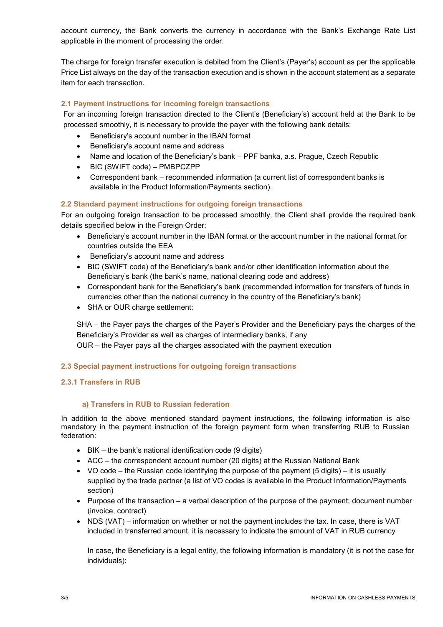account currency, the Bank converts the currency in accordance with the Bank's Exchange Rate List applicable in the moment of processing the order.

The charge for foreign transfer execution is debited from the Client's (Payer's) account as per the applicable Price List always on the day of the transaction execution and is shown in the account statement as a separate item for each transaction.

## 2.1 Payment instructions for incoming foreign transactions

For an incoming foreign transaction directed to the Client's (Beneficiary's) account held at the Bank to be processed smoothly, it is necessary to provide the payer with the following bank details:

- Beneficiary's account number in the IBAN format
- Beneficiary's account name and address
- Name and location of the Beneficiary's bank PPF banka, a.s. Prague, Czech Republic
- BIC (SWIFT code) PMBPCZPP
- Correspondent bank recommended information (a current list of correspondent banks is available in the Product Information/Payments section).

# 2.2 Standard payment instructions for outgoing foreign transactions

For an outgoing foreign transaction to be processed smoothly, the Client shall provide the required bank details specified below in the Foreign Order:

- Beneficiary's account number in the IBAN format or the account number in the national format for countries outside the EEA
- Beneficiary's account name and address
- BIC (SWIFT code) of the Beneficiary's bank and/or other identification information about the Beneficiary's bank (the bank's name, national clearing code and address)
- Correspondent bank for the Beneficiary's bank (recommended information for transfers of funds in currencies other than the national currency in the country of the Beneficiary's bank)
- SHA or OUR charge settlement:

SHA – the Payer pays the charges of the Payer's Provider and the Beneficiary pays the charges of the Beneficiary's Provider as well as charges of intermediary banks, if any OUR – the Payer pays all the charges associated with the payment execution

## 2.3 Special payment instructions for outgoing foreign transactions

## 2.3.1 Transfers in RUB

## a) Transfers in RUB to Russian federation

In addition to the above mentioned standard payment instructions, the following information is also mandatory in the payment instruction of the foreign payment form when transferring RUB to Russian federation:

- BIK the bank's national identification code (9 digits)
- ACC the correspondent account number (20 digits) at the Russian National Bank
- VO code the Russian code identifying the purpose of the payment (5 digits) it is usually supplied by the trade partner (a list of VO codes is available in the Product Information/Payments section)
- $\bullet$  Purpose of the transaction a verbal description of the purpose of the payment; document number (invoice, contract)
- NDS (VAT) information on whether or not the payment includes the tax. In case, there is VAT included in transferred amount, it is necessary to indicate the amount of VAT in RUB currency

In case, the Beneficiary is a legal entity, the following information is mandatory (it is not the case for individuals):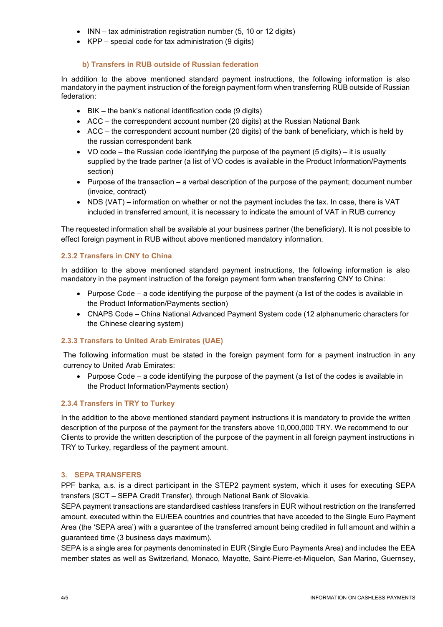- INN tax administration registration number (5, 10 or 12 digits)
- KPP special code for tax administration (9 digits)

## b) Transfers in RUB outside of Russian federation

In addition to the above mentioned standard payment instructions, the following information is also mandatory in the payment instruction of the foreign payment form when transferring RUB outside of Russian federation:

- BIK the bank's national identification code (9 digits)
- ACC the correspondent account number (20 digits) at the Russian National Bank
- $\bullet$  ACC the correspondent account number (20 digits) of the bank of beneficiary, which is held by the russian correspondent bank
- VO code the Russian code identifying the purpose of the payment  $(5 \text{ diuits}) -$  it is usually supplied by the trade partner (a list of VO codes is available in the Product Information/Payments section)
- $\bullet$  Purpose of the transaction a verbal description of the purpose of the payment; document number (invoice, contract)
- NDS (VAT) information on whether or not the payment includes the tax. In case, there is VAT included in transferred amount, it is necessary to indicate the amount of VAT in RUB currency

The requested information shall be available at your business partner (the beneficiary). It is not possible to effect foreign payment in RUB without above mentioned mandatory information.

# 2.3.2 Transfers in CNY to China

In addition to the above mentioned standard payment instructions, the following information is also mandatory in the payment instruction of the foreign payment form when transferring CNY to China:

- Purpose Code a code identifying the purpose of the payment (a list of the codes is available in the Product Information/Payments section)
- CNAPS Code China National Advanced Payment System code (12 alphanumeric characters for the Chinese clearing system)

## 2.3.3 Transfers to United Arab Emirates (UAE)

The following information must be stated in the foreign payment form for a payment instruction in any currency to United Arab Emirates:

 $\bullet$  Purpose Code – a code identifying the purpose of the payment (a list of the codes is available in the Product Information/Payments section)

## 2.3.4 Transfers in TRY to Turkey

In the addition to the above mentioned standard payment instructions it is mandatory to provide the written description of the purpose of the payment for the transfers above 10,000,000 TRY. We recommend to our Clients to provide the written description of the purpose of the payment in all foreign payment instructions in TRY to Turkey, regardless of the payment amount.

## 3. SEPA TRANSFERS

PPF banka, a.s. is a direct participant in the STEP2 payment system, which it uses for executing SEPA transfers (SCT – SEPA Credit Transfer), through National Bank of Slovakia.

SEPA payment transactions are standardised cashless transfers in EUR without restriction on the transferred amount, executed within the EU/EEA countries and countries that have acceded to the Single Euro Payment Area (the 'SEPA area') with a guarantee of the transferred amount being credited in full amount and within a guaranteed time (3 business days maximum).

SEPA is a single area for payments denominated in EUR (Single Euro Payments Area) and includes the EEA member states as well as Switzerland, Monaco, Mayotte, Saint-Pierre-et-Miquelon, San Marino, Guernsey,